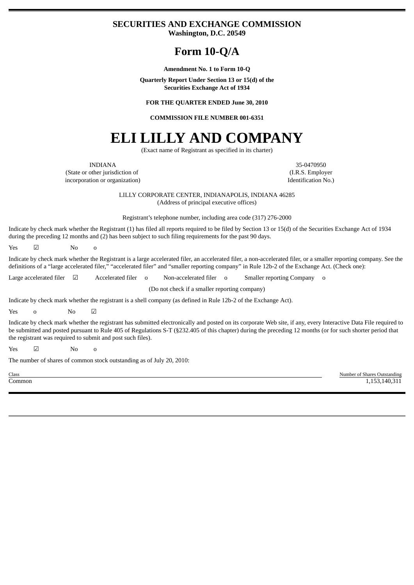### **SECURITIES AND EXCHANGE COMMISSION Washington, D.C. 20549**

# **Form 10-Q/A**

**Amendment No. 1 to Form 10-Q**

**Quarterly Report Under Section 13 or 15(d) of the Securities Exchange Act of 1934**

**FOR THE QUARTER ENDED June 30, 2010**

**COMMISSION FILE NUMBER 001-6351**

# **ELI LILLY AND COMPANY**

(Exact name of Registrant as specified in its charter)

(State or other jurisdiction of incorporation or organization)

INDIANA 35-0470950 (I.R.S. Employer Identification No.)

> LILLY CORPORATE CENTER, INDIANAPOLIS, INDIANA 46285 (Address of principal executive offices)

Registrant's telephone number, including area code (317) 276-2000

Indicate by check mark whether the Registrant (1) has filed all reports required to be filed by Section 13 or 15(d) of the Securities Exchange Act of 1934 during the preceding 12 months and (2) has been subject to such filing requirements for the past 90 days.

Yes ☑ No o

Indicate by check mark whether the Registrant is a large accelerated filer, an accelerated filer, a non-accelerated filer, or a smaller reporting company. See the definitions of a "large accelerated filer," "accelerated filer" and "smaller reporting company" in Rule 12b-2 of the Exchange Act. (Check one):

Large accelerated filer ⊠ Accelerated filer o Non-accelerated filer o Smaller reporting Company o

(Do not check if a smaller reporting company)

Indicate by check mark whether the registrant is a shell company (as defined in Rule 12b-2 of the Exchange Act).

Yes o No ☑

Indicate by check mark whether the registrant has submitted electronically and posted on its corporate Web site, if any, every Interactive Data File required to be submitted and posted pursuant to Rule 405 of Regulations S-T (§232.405 of this chapter) during the preceding 12 months (or for such shorter period that the registrant was required to submit and post such files).

Yes ☑ No o

The number of shares of common stock outstanding as of July 20, 2010:

Class Number of Shares Outstanding Common 1,153,140,311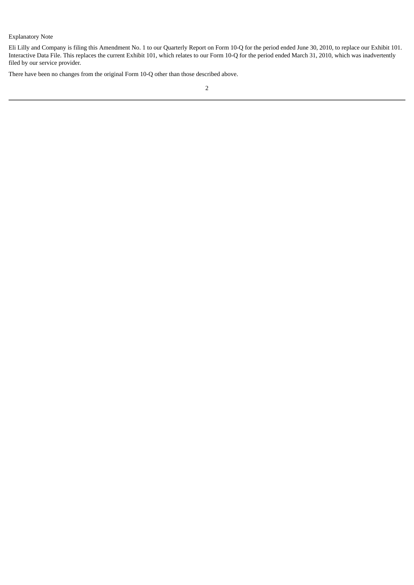#### Explanatory Note

Eli Lilly and Company is filing this Amendment No. 1 to our Quarterly Report on Form 10-Q for the period ended June 30, 2010, to replace our Exhibit 101. Interactive Data File. This replaces the current Exhibit 101, which relates to our Form 10-Q for the period ended March 31, 2010, which was inadvertently filed by our service provider.

There have been no changes from the original Form 10-Q other than those described above.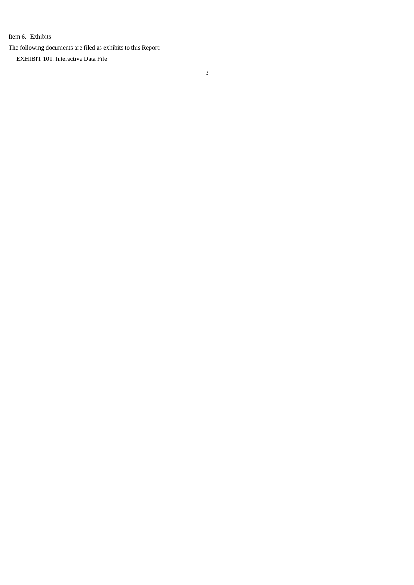Item 6. Exhibits

The following documents are filed as exhibits to this Report:

EXHIBIT 101. Interactive Data File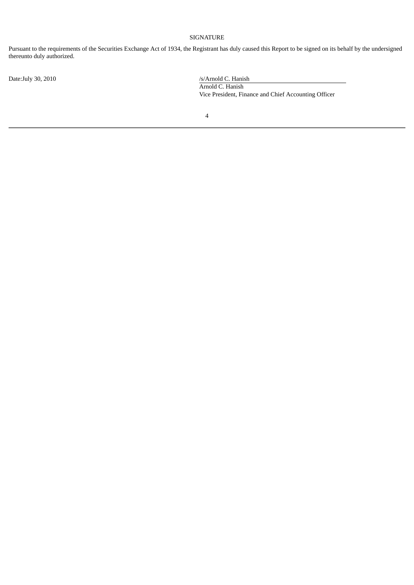#### SIGNATURE

Pursuant to the requirements of the Securities Exchange Act of 1934, the Registrant has duly caused this Report to be signed on its behalf by the undersigned thereunto duly authorized.

Date:July 30, 2010 /s/Arnold C. Hanish Arnold C. Hanish Vice President, Finance and Chief Accounting Officer